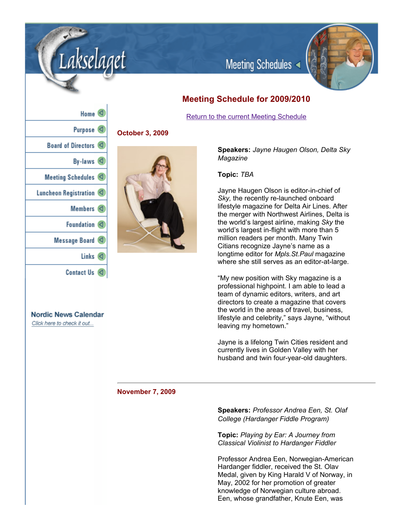

# **Meeting Schedule for 2009/2010**

Meeting Schedules

Return to the current Meeting Schedule

| Home                     |
|--------------------------|
| Purpose <sup>(</sup>     |
| Board of Directors <     |
| By-laws $\triangleleft$  |
| Meeting Schedules <      |
| Luncheon Registration    |
| Members <                |
| Foundation <             |
| Message Board <          |
| Links<br>$\triangleleft$ |
| <b>Contact Us</b>        |

**Nordic News Calendar** Click here to check it out...

**October 3, 2009**

kselaaet



**Speakers:** *Jayne Haugen Olson, Delta Sky Magazine*

## **Topic:** *TBA*

Jayne Haugen Olson is editor-in-chief of **Sky**, the recently re-launched onboard lifestyle magazine for Delta Air Lines. After the merger with Northwest Airlines, Delta is the world's largest airline, making *Sky* the world's largest in-flight with more than 5 million readers per month. Many Twin Citians recognize Jayne's name as a longtime editor for *Mpls.St.Paul* magazine where she still serves as an editor-at-large.

"My new position with Sky magazine is a professional highpoint. I am able to lead a team of dynamic editors, writers, and art directors to create a magazine that covers the world in the areas of travel, business, lifestyle and celebrity," says Jayne, "without leaving my hometown."

Jayne is a lifelong Twin Cities resident and currently lives in Golden Valley with her husband and twin four-year-old daughters.

## **November 7, 2009**

**Speakers:** *Professor Andrea Een, St. Olaf College (Hardanger Fiddle Program)*

**Topic:** *Playing by Ear: A Journey from Classical Violinist to Hardanger Fiddler*

Professor Andrea Een, Norwegian-American Hardanger fiddler, received the St. Olav Medal, given by King Harald V of Norway, in May, 2002 for her promotion of greater knowledge of Norwegian culture abroad. Een, whose grandfather, Knute Een, was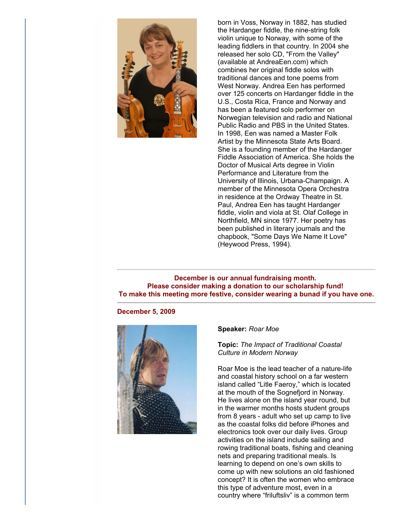

born in Voss, Norway in 1882, has studied the Hardanger fiddle, the nine-string folk violin unique to Norway, with some of the leading fiddlers in that country. In 2004 she released her solo CD, "From the Valley" (available at AndreaEen.com) which combines her original fiddle solos with traditional dances and tone poems from West Norway. Andrea Een has performed over 125 concerts on Hardanger fiddle in the U.S., Costa Rica, France and Norway and has been a featured solo performer on Norwegian television and radio and National Public Radio and PBS in the United States. In 1998, Een was named a Master Folk Artist by the Minnesota State Arts Board. She is a founding member of the Hardanger Fiddle Association of America. She holds the Doctor of Musical Arts degree in Violin Performance and Literature from the University of Illinois, Urbana-Champaign. A member of the Minnesota Opera Orchestra in residence at the Ordway Theatre in St. Paul, Andrea Een has taught Hardanger fiddle, violin and viola at St. Olaf College in Northfield, MN since 1977. Her poetry has been published in literary journals and the chapbook, "Some Days We Name It Love" (Heywood Press, 1994).

**December is our annual fundraising month. Please consider making a donation to our scholarship fund! To make this meeting more festive, consider wearing a bunad if you have one.**

#### **December 5, 2009**



## **Speaker:** *Roar Moe*

**Topic:** *The Impact of Traditional Coastal Culture in Modern Norway*

Roar Moe is the lead teacher of a nature-life and coastal history school on a far western island called "Litle Faeroy," which is located at the mouth of the Sognefjord in Norway. He lives alone on the island year round, but in the warmer months hosts student groups from 8 years - adult who set up camp to live as the coastal folks did before iPhones and electronics took over our daily lives. Group activities on the island include sailing and rowing traditional boats, fishing and cleaning nets and preparing traditional meals. Is learning to depend on one's own skills to come up with new solutions an old fashioned concept? It is often the women who embrace this type of adventure most, even in a country where "friluftsliv" is a common term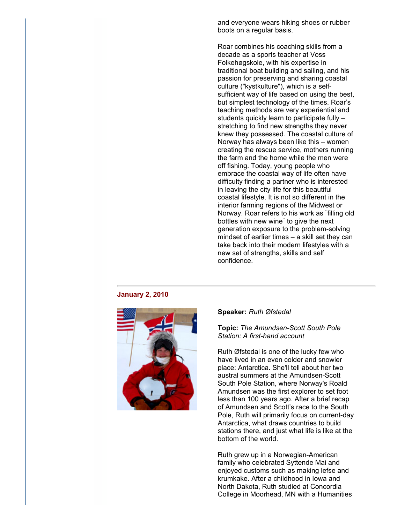and everyone wears hiking shoes or rubber boots on a regular basis.

Roar combines his coaching skills from a decade as a sports teacher at Voss Folkehøgskole, with his expertise in traditional boat building and sailing, and his passion for preserving and sharing coastal culture ("kystkulture"), which is a selfsufficient way of life based on using the best, but simplest technology of the times. Roar's teaching methods are very experiential and students quickly learn to participate fully – stretching to find new strengths they never knew they possessed. The coastal culture of Norway has always been like this – women creating the rescue service, mothers running the farm and the home while the men were off fishing. Today, young people who embrace the coastal way of life often have difficulty finding a partner who is interested in leaving the city life for this beautiful coastal lifestyle. It is not so different in the interior farming regions of the Midwest or Norway. Roar refers to his work as ¨filling old bottles with new wine¨ to give the next generation exposure to the problem-solving mindset of earlier times – a skill set they can take back into their modern lifestyles with a new set of strengths, skills and self confidence.

## **January 2, 2010**



#### **Speaker:** *Ruth Øfstedal*

## **Topic:** The Amundsen-Scott South Pole *Station: A first-hand account*

Ruth Øfstedal is one of the lucky few who have lived in an even colder and snowier place: Antarctica. She'll tell about her two austral summers at the Amundsen-Scott South Pole Station, where Norway's Roald Amundsen was the first explorer to set foot less than 100 years ago. After a brief recap of Amundsen and Scott's race to the South Pole, Ruth will primarily focus on current-day Antarctica, what draws countries to build stations there, and just what life is like at the bottom of the world.

Ruth grew up in a Norwegian-American family who celebrated Syttende Mai and enjoyed customs such as making lefse and krumkake. After a childhood in Iowa and North Dakota, Ruth studied at Concordia College in Moorhead, MN with a Humanities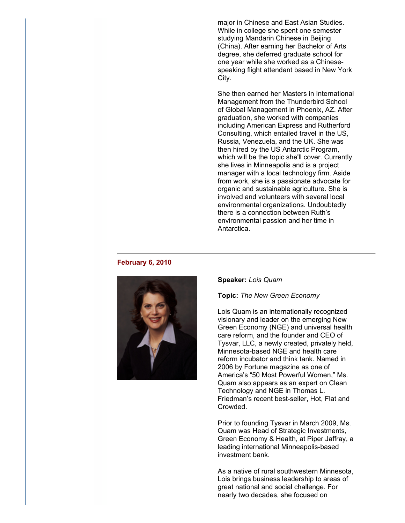major in Chinese and East Asian Studies. While in college she spent one semester studying Mandarin Chinese in Beijing (China). After earning her Bachelor of Arts degree, she deferred graduate school for one year while she worked as a Chinesespeaking flight attendant based in New York City.

She then earned her Masters in International Management from the Thunderbird School of Global Management in Phoenix, AZ. After graduation, she worked with companies including American Express and Rutherford Consulting, which entailed travel in the US, Russia, Venezuela, and the UK. She was then hired by the US Antarctic Program, which will be the topic she'll cover. Currently she lives in Minneapolis and is a project manager with a local technology firm. Aside from work, she is a passionate advocate for organic and sustainable agriculture. She is involved and volunteers with several local environmental organizations. Undoubtedly there is a connection between Ruth's environmental passion and her time in Antarctica.

#### **February 6, 2010**



#### **Speaker:** *Lois Quam*

#### **Topic:** *The New Green Economy*

Lois Quam is an internationally recognized visionary and leader on the emerging New Green Economy (NGE) and universal health care reform, and the founder and CEO of Tysvar, LLC, a newly created, privately held, Minnesota-based NGE and health care reform incubator and think tank. Named in 2006 by Fortune magazine as one of America's "50 Most Powerful Women," Ms. Quam also appears as an expert on Clean Technology and NGE in Thomas L. Friedman's recent best-seller, Hot, Flat and Crowded.

Prior to founding Tysvar in March 2009, Ms. Quam was Head of Strategic Investments, Green Economy & Health, at Piper Jaffray, a leading international Minneapolis-based investment bank.

As a native of rural southwestern Minnesota, Lois brings business leadership to areas of great national and social challenge. For nearly two decades, she focused on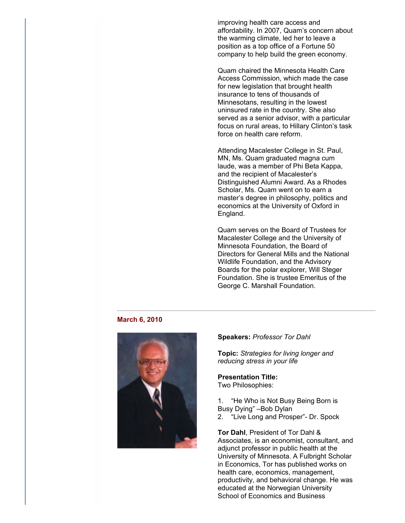improving health care access and affordability. In 2007, Quam's concern about the warming climate, led her to leave a position as a top office of a Fortune 50 company to help build the green economy.

Quam chaired the Minnesota Health Care Access Commission, which made the case for new legislation that brought health insurance to tens of thousands of Minnesotans, resulting in the lowest uninsured rate in the country. She also served as a senior advisor, with a particular focus on rural areas, to Hillary Clinton's task force on health care reform.

Attending Macalester College in St. Paul, MN, Ms. Quam graduated magna cum laude, was a member of Phi Beta Kappa, and the recipient of Macalester's Distinguished Alumni Award. As a Rhodes Scholar, Ms. Quam went on to earn a master's degree in philosophy, politics and economics at the University of Oxford in England.

Quam serves on the Board of Trustees for Macalester College and the University of Minnesota Foundation, the Board of Directors for General Mills and the National Wildlife Foundation, and the Advisory Boards for the polar explorer, Will Steger Foundation. She is trustee Emeritus of the George C. Marshall Foundation.

#### **March 6, 2010**



#### **Speakers:** *Professor Tor Dahl*

**Topic:** *Strategies for living longer and reducing stress in your life*

#### **Presentation Title:** Two Philosophies:

1. "He Who is Not Busy Being Born is Busy Dying" –Bob Dylan

2. "Live Long and Prosper"- Dr. Spock

**Tor Dahl**, President of Tor Dahl & Associates, is an economist, consultant, and adjunct professor in public health at the University of Minnesota. A Fulbright Scholar in Economics, Tor has published works on health care, economics, management, productivity, and behavioral change. He was educated at the Norwegian University School of Economics and Business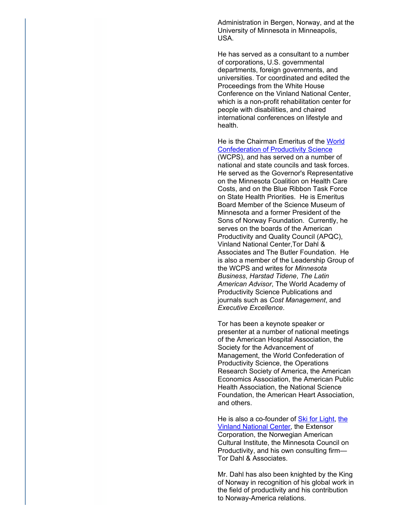Administration in Bergen, Norway, and at the University of Minnesota in Minneapolis, USA.

He has served as a consultant to a number of corporations, U.S. governmental departments, foreign governments, and universities. Tor coordinated and edited the Proceedings from the White House Conference on the Vinland National Center, which is a non-profit rehabilitation center for people with disabilities, and chaired international conferences on lifestyle and health.

He is the Chairman Emeritus of the World Confederation of Productivity Science (WCPS), and has served on a number of national and state councils and task forces. He served as the Governor's Representative on the Minnesota Coalition on Health Care Costs, and on the Blue Ribbon Task Force on State Health Priorities. He is Emeritus Board Member of the Science Museum of Minnesota and a former President of the Sons of Norway Foundation. Currently, he serves on the boards of the American Productivity and Quality Council (APQC), Vinland National Center,Tor Dahl & Associates and The Butler Foundation. He is also a member of the Leadership Group of the WCPS and writes for *Minnesota Business*, *Harstad Tidene*, *The Latin American Advisor*, The World Academy of Productivity Science Publications and journals such as *Cost Management*, and *Executive Excellence*.

Tor has been a keynote speaker or presenter at a number of national meetings of the American Hospital Association, the Society for the Advancement of Management, the World Confederation of Productivity Science, the Operations Research Society of America, the American Economics Association, the American Public Health Association, the National Science Foundation, the American Heart Association, and others.

He is also a co-founder of **Ski for Light**, the Vinland National Center, the Extensor Corporation, the Norwegian American Cultural Institute, the Minnesota Council on Productivity, and his own consulting firm— Tor Dahl & Associates.

Mr. Dahl has also been knighted by the King of Norway in recognition of his global work in the field of productivity and his contribution to Norway-America relations.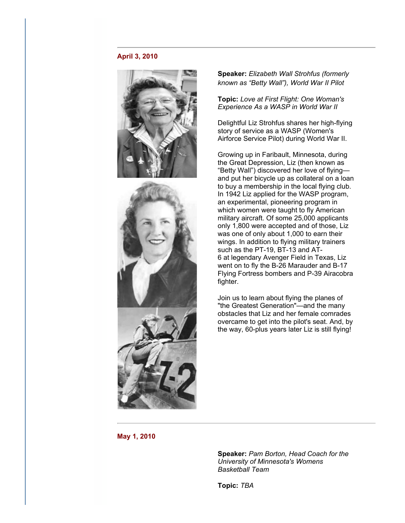## **April 3, 2010**





**Speaker:** *Elizabeth Wall Strohfus (formerly known as "Betty Wall"), World War II Pilot*

**Topic:** *Love at First Flight: One Woman's Experience As a WASP in World War II*

Delightful Liz Strohfus shares her high-flying story of service as a WASP (Women's Airforce Service Pilot) during World War II.

Growing up in Faribault, Minnesota, during the Great Depression, Liz (then known as "Betty Wall") discovered her love of flying and put her bicycle up as collateral on a loan to buy a membership in the local flying club. In 1942 Liz applied for the WASP program, an experimental, pioneering program in which women were taught to fly American military aircraft. Of some 25,000 applicants only 1,800 were accepted and of those, Liz was one of only about 1,000 to earn their wings. In addition to flying military trainers such as the PT-19, BT-13 and AT-6 at legendary Avenger Field in Texas, Liz went on to fly the B-26 Marauder and B-17 Flying Fortress bombers and P-39 Airacobra fighter.

Join us to learn about flying the planes of "the Greatest Generation"—and the many obstacles that Liz and her female comrades overcame to get into the pilot's seat. And, by the way, 60-plus years later Liz is still flying!

**May 1, 2010**

**Speaker:** *Pam Borton, Head Coach for the University of Minnesota's Womens Basketball Team*

**Topic:** *TBA*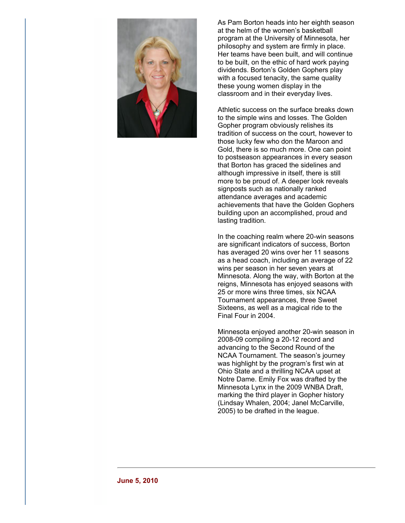

As Pam Borton heads into her eighth season at the helm of the women's basketball program at the University of Minnesota, her philosophy and system are firmly in place. Her teams have been built, and will continue to be built, on the ethic of hard work paying dividends. Borton's Golden Gophers play with a focused tenacity, the same quality these young women display in the classroom and in their everyday lives.

Athletic success on the surface breaks down to the simple wins and losses. The Golden Gopher program obviously relishes its tradition of success on the court, however to those lucky few who don the Maroon and Gold, there is so much more. One can point to postseason appearances in every season that Borton has graced the sidelines and although impressive in itself, there is still more to be proud of. A deeper look reveals signposts such as nationally ranked attendance averages and academic achievements that have the Golden Gophers building upon an accomplished, proud and lasting tradition.

In the coaching realm where 20-win seasons are significant indicators of success, Borton has averaged 20 wins over her 11 seasons as a head coach, including an average of 22 wins per season in her seven years at Minnesota. Along the way, with Borton at the reigns, Minnesota has enjoyed seasons with 25 or more wins three times, six NCAA Tournament appearances, three Sweet Sixteens, as well as a magical ride to the Final Four in 2004.

Minnesota enjoyed another 20-win season in 2008-09 compiling a 20-12 record and advancing to the Second Round of the NCAA Tournament. The season's journey was highlight by the program's first win at Ohio State and a thrilling NCAA upset at Notre Dame. Emily Fox was drafted by the Minnesota Lynx in the 2009 WNBA Draft, marking the third player in Gopher history (Lindsay Whalen, 2004; Janel McCarville, 2005) to be drafted in the league.